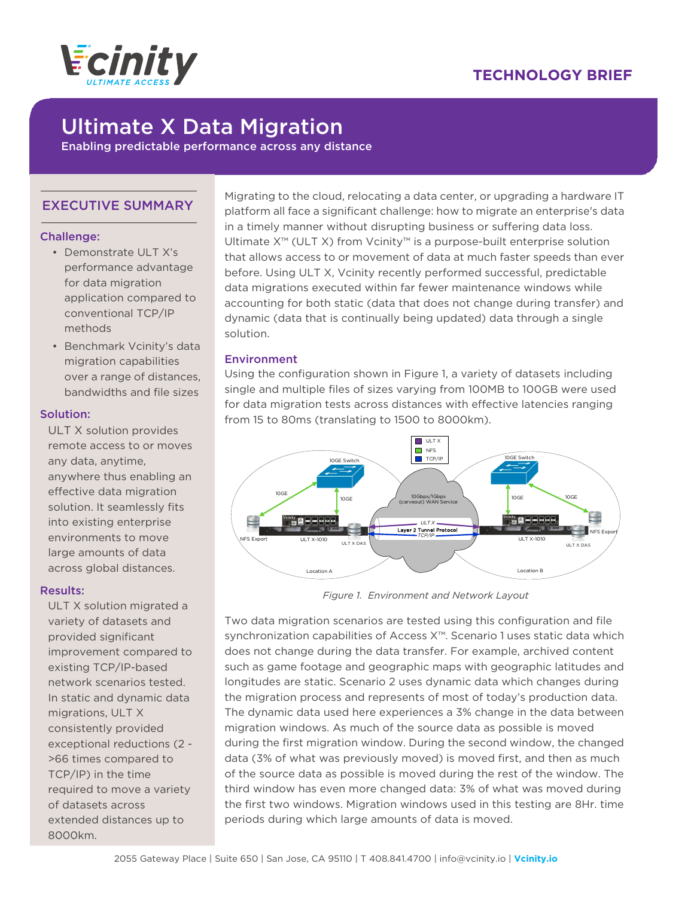

## **TECHNOLOGY BRIEF**

# Ultimate X Data Migration

Enabling predictable performance across any distance

### Challenge:

- Demonstrate ULT X's performance advantage for data migration application compared to conventional TCP/IP methods
- Benchmark Vcinity's data migration capabilities over a range of distances, bandwidths and file sizes

### Solution:

ULT X solution provides remote access to or moves any data, anytime, anywhere thus enabling an effective data migration solution. It seamlessly fits into existing enterprise environments to move large amounts of data across global distances.

#### Results:

ULT X solution migrated a variety of datasets and provided significant improvement compared to existing TCP/IP-based network scenarios tested. In static and dynamic data migrations, ULT X consistently provided exceptional reductions (2 - >66 times compared to TCP/IP) in the time required to move a variety of datasets across extended distances up to 8000km.

EXECUTIVE SUMMARY Migrating to the cloud, relocating a data center, or upgrading a hardware IT platform all face a significant challenge: how to migrate an enterprise's data in a timely manner without disrupting business or suffering data loss. Ultimate X™ (ULT X) from Vcinity™ is a purpose-built enterprise solution that allows access to or movement of data at much faster speeds than ever before. Using ULT X, Vcinity recently performed successful, predictable data migrations executed within far fewer maintenance windows while accounting for both static (data that does not change during transfer) and dynamic (data that is continually being updated) data through a single solution.

#### Environment

Using the configuration shown in [Figure 1](#page-0-0), a variety of datasets including single and multiple files of sizes varying from 100MB to 100GB were used for data migration tests across distances with effective latencies ranging from 15 to 80ms (translating to 1500 to 8000km).



*Figure 1. Environment and Network Layout*

<span id="page-0-0"></span>Two data migration scenarios are tested using this configuration and file synchronization capabilities of Access X<sup>™</sup>. Scenario 1 uses static data which does not change during the data transfer. For example, archived content such as game footage and geographic maps with geographic latitudes and longitudes are static. Scenario 2 uses dynamic data which changes during the migration process and represents of most of today's production data. The dynamic data used here experiences a 3% change in the data between migration windows. As much of the source data as possible is moved during the first migration window. During the second window, the changed data (3% of what was previously moved) is moved first, and then as much of the source data as possible is moved during the rest of the window. The third window has even more changed data: 3% of what was moved during the first two windows. Migration windows used in this testing are 8Hr. time periods during which large amounts of data is moved.